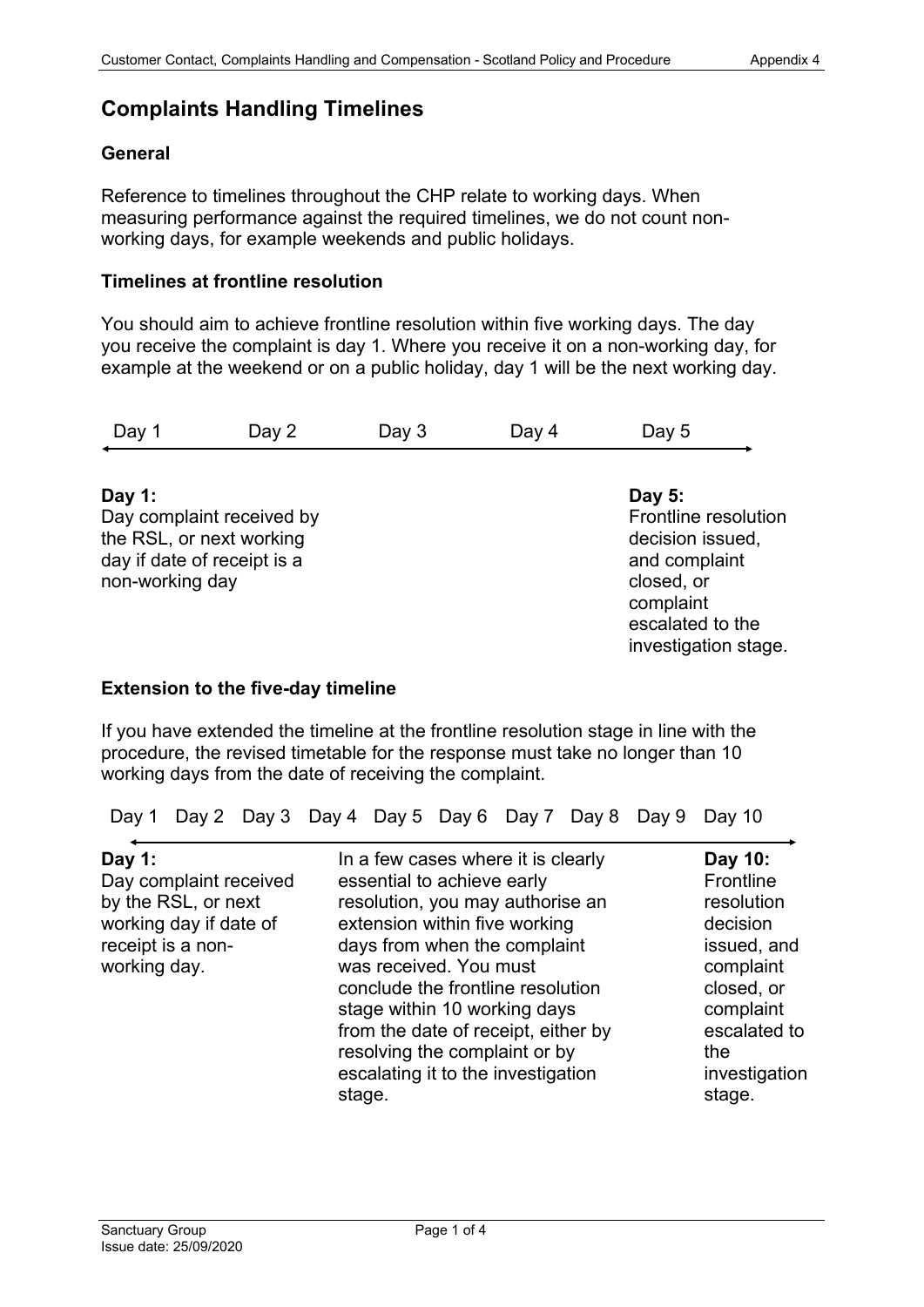# **Complaints Handling Timelines**

## **General**

Reference to timelines throughout the CHP relate to working days. When measuring performance against the required timelines, we do not count nonworking days, for example weekends and public holidays.

## **Timelines at frontline resolution**

You should aim to achieve frontline resolution within five working days. The day you receive the complaint is day 1. Where you receive it on a non-working day, for example at the weekend or on a public holiday, day 1 will be the next working day.

| Day 1                     | Day 2                                                                                | Day 3 | Day 4 | Day 5                                                                                                                                      |
|---------------------------|--------------------------------------------------------------------------------------|-------|-------|--------------------------------------------------------------------------------------------------------------------------------------------|
| Day 1:<br>non-working day | Day complaint received by<br>the RSL, or next working<br>day if date of receipt is a |       |       | Day 5:<br>Frontline resolution<br>decision issued,<br>and complaint<br>closed, or<br>complaint<br>escalated to the<br>investigation stage. |

# **Extension to the five-day timeline**

If you have extended the timeline at the frontline resolution stage in line with the procedure, the revised timetable for the response must take no longer than 10 working days from the date of receiving the complaint.

Day 1 Day 2 Day 3 Day 4 Day 5 Day 6 Day 7 Day 8 Day 9 Day 10

| Day 1:<br>Day complaint received<br>by the RSL, or next<br>working day if date of<br>receipt is a non-<br>working day. | In a few cases where it is clearly<br>essential to achieve early<br>resolution, you may authorise an<br>extension within five working<br>days from when the complaint<br>was received. You must<br>conclude the frontline resolution<br>stage within 10 working days<br>from the date of receipt, either by<br>resolving the complaint or by<br>escalating it to the investigation<br>stage. | Day 10:<br>Frontline<br>resolution<br>decision<br>issued, and<br>complaint<br>closed, or<br>complaint<br>escalated to<br>the<br>investigation<br>stage. |
|------------------------------------------------------------------------------------------------------------------------|----------------------------------------------------------------------------------------------------------------------------------------------------------------------------------------------------------------------------------------------------------------------------------------------------------------------------------------------------------------------------------------------|---------------------------------------------------------------------------------------------------------------------------------------------------------|
|                                                                                                                        |                                                                                                                                                                                                                                                                                                                                                                                              |                                                                                                                                                         |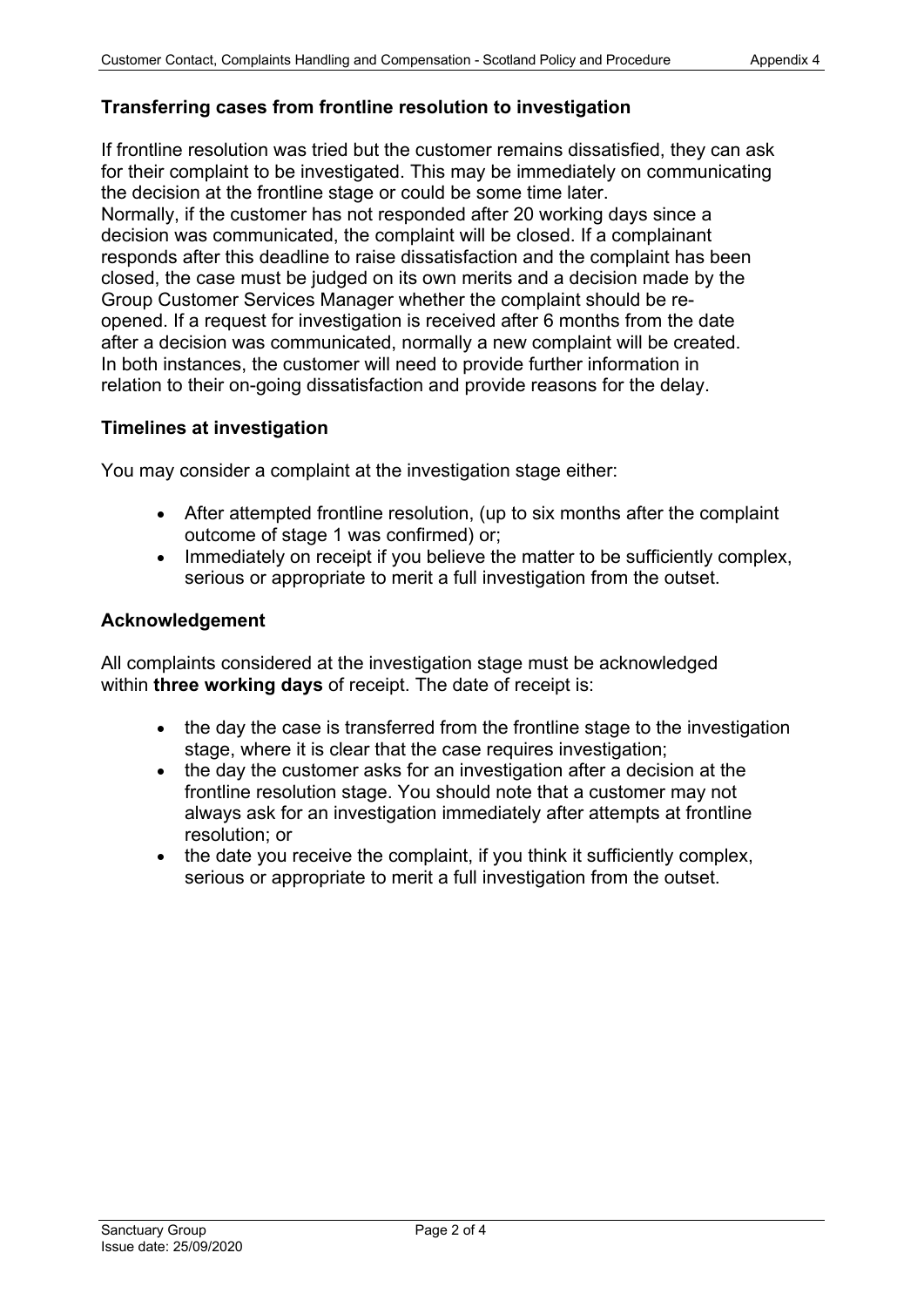## **Transferring cases from frontline resolution to investigation**

If frontline resolution was tried but the customer remains dissatisfied, they can ask for their complaint to be investigated. This may be immediately on communicating the decision at the frontline stage or could be some time later. Normally, if the customer has not responded after 20 working days since a decision was communicated, the complaint will be closed. If a complainant responds after this deadline to raise dissatisfaction and the complaint has been closed, the case must be judged on its own merits and a decision made by the Group Customer Services Manager whether the complaint should be reopened. If a request for investigation is received after 6 months from the date after a decision was communicated, normally a new complaint will be created. In both instances, the customer will need to provide further information in relation to their on-going dissatisfaction and provide reasons for the delay.

#### **Timelines at investigation**

You may consider a complaint at the investigation stage either:

- After attempted frontline resolution, (up to six months after the complaint outcome of stage 1 was confirmed) or;
- Immediately on receipt if you believe the matter to be sufficiently complex, serious or appropriate to merit a full investigation from the outset.

#### **Acknowledgement**

All complaints considered at the investigation stage must be acknowledged within **three working days** of receipt. The date of receipt is:

- the day the case is transferred from the frontline stage to the investigation stage, where it is clear that the case requires investigation;
- the day the customer asks for an investigation after a decision at the frontline resolution stage. You should note that a customer may not always ask for an investigation immediately after attempts at frontline resolution; or
- the date you receive the complaint, if you think it sufficiently complex, serious or appropriate to merit a full investigation from the outset.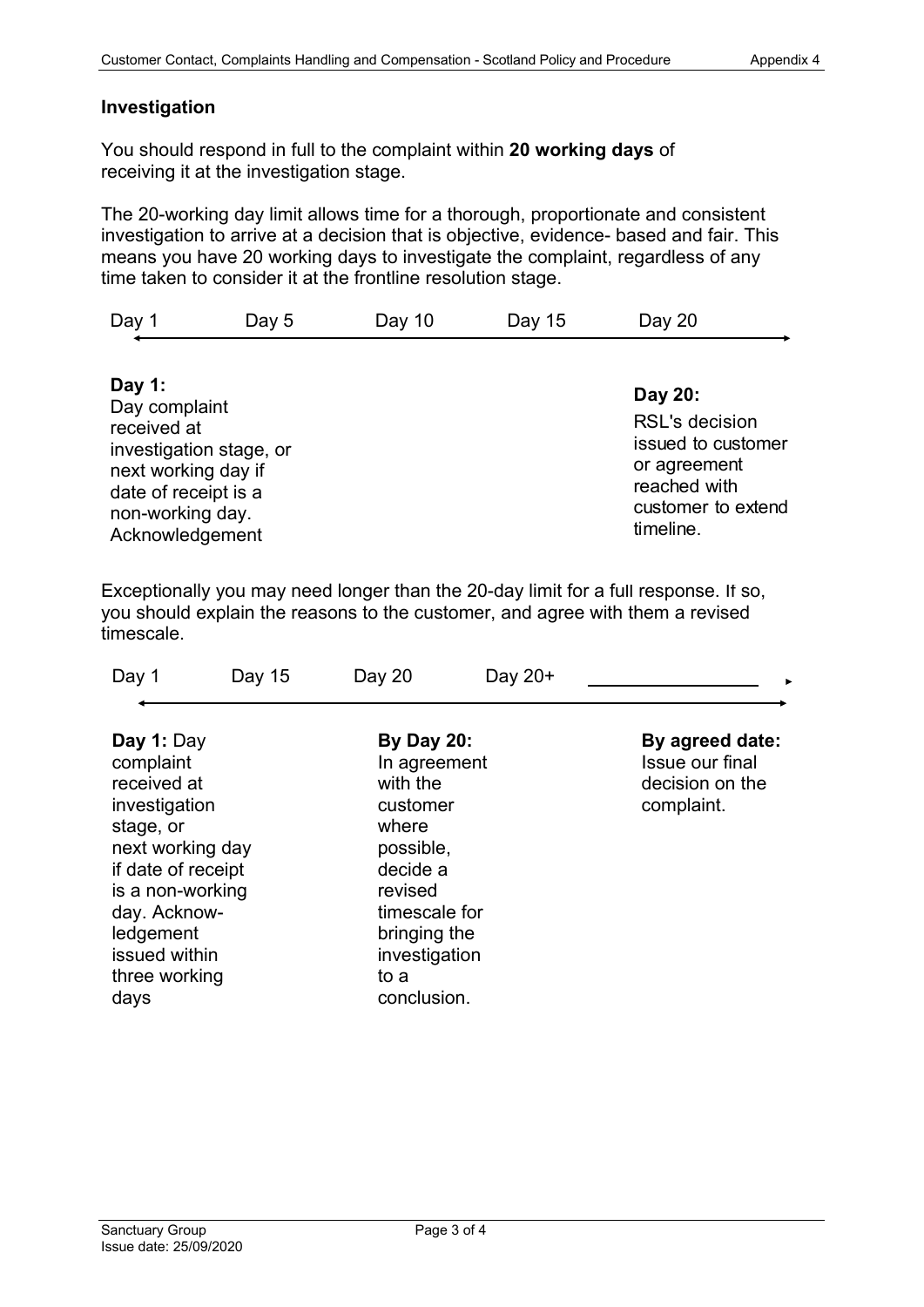## **Investigation**

You should respond in full to the complaint within **20 working days** of receiving it at the investigation stage.

The 20-working day limit allows time for a thorough, proportionate and consistent investigation to arrive at a decision that is objective, evidence- based and fair. This means you have 20 working days to investigate the complaint, regardless of any time taken to consider it at the frontline resolution stage.

| Day 1                        | Day 5 | Day 10 | Day 15       | Day 20                |
|------------------------------|-------|--------|--------------|-----------------------|
|                              |       |        |              |                       |
| Day 1:                       |       |        |              | Day 20:               |
| Day complaint<br>received at |       |        |              | <b>RSL's decision</b> |
| investigation stage, or      |       |        |              | issued to customer    |
| next working day if          |       |        | or agreement |                       |
| date of receipt is a         |       |        |              | reached with          |
| non-working day.             |       |        |              | customer to extend    |
| Acknowledgement              |       |        |              | timeline.             |

Exceptionally you may need longer than the 20-day limit for a full response. If so, you should explain the reasons to the customer, and agree with them a revised timescale.

| Day 1                                                                                                                                                                                             | Day 15 | Day 20                                                                                                                                                                          | Day 20+ |                                                                     |
|---------------------------------------------------------------------------------------------------------------------------------------------------------------------------------------------------|--------|---------------------------------------------------------------------------------------------------------------------------------------------------------------------------------|---------|---------------------------------------------------------------------|
| Day 1: Day<br>complaint<br>received at<br>investigation<br>stage, or<br>next working day<br>if date of receipt<br>is a non-working<br>day. Acknow-<br>ledgement<br>issued within<br>three working |        | <b>By Day 20:</b><br>In agreement<br>with the<br>customer<br>where<br>possible,<br>decide a<br>revised<br>timescale for<br>bringing the<br>investigation<br>to a<br>conclusion. |         | By agreed date:<br>Issue our final<br>decision on the<br>complaint. |